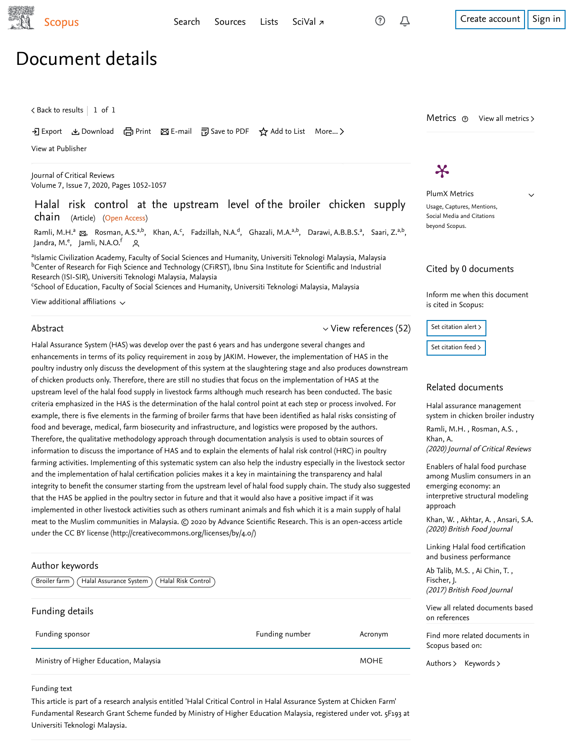$\checkmark$ 

# Document details

 $\zeta$  [Back to results](https://www-scopus-com.ezproxy.um.edu.my/results/results.uri?sort=plf-f&src=s&st1=HALAL+RISK+CONTROL+AT+THE+UPSTREAM+LEVEL+OF+THE+BROILER+CHICKEN+SUPPLY+CHAIN&st2=&sid=19e12f8755c355d4e67a5cac14548869&sot=b&sdt=b&sl=83&s=TITLE%28HALAL+RISK+CONTROL+AT+THE+UPSTREAM+LEVEL+OF+THE+BROILER+CHICKEN+SUPPLY+CHAIN%29&offset=1&origin=recordpage)  $\vert\,$   $\,$  1 of  $\,$  1  $\,$ 

Download 日 Print Be-mail 『別 Save to PDF ☆ Add to List More... >

[View at Publisher](https://www-scopus-com.ezproxy.um.edu.my/redirect/linking.uri?targetURL=https%3a%2f%2fdoi.org%2f10.31838%2fjcr.07.07.191&locationID=1&categoryID=4&eid=2-s2.0-85085033370&issn=23945125&linkType=ViewAtPublisher&year=2020&origin=recordpage&dig=1f40185254ada826cee231b6a0f7c7b2&recordRank=)

[Journal of Critical Reviews](https://www-scopus-com.ezproxy.um.edu.my/sourceid/21100920227?origin=recordpage) Volume 7, Issue 7, 2020, Pages 1052-1057

Halal risk control at the upstream level of the broiler chicken supply chain (Article) (Open Access)

[Ramli, M.H.](https://www-scopus-com.ezproxy.um.edu.my/authid/detail.uri?authorId=57216867823&eid=2-s2.0-85085033370)ª <sub>⊠</sub>, [Rosman, A.S.](https://www-scopus-com.ezproxy.um.edu.my/authid/detail.uri?authorId=56099763000&eid=2-s2.0-85085033370)ª<sup>b</sup>, [Khan, A.](https://www-scopus-com.ezproxy.um.edu.my/authid/detail.uri?authorId=8629564400&eid=2-s2.0-85085033370)<sup>c</sup>, [Fadzillah, N.A.](https://www-scopus-com.ezproxy.um.edu.my/authid/detail.uri?authorId=57202953049&eid=2-s2.0-85085033370)<sup>d</sup>, [Ghazali, M.A.](https://www-scopus-com.ezproxy.um.edu.my/authid/detail.uri?authorId=57216855309&eid=2-s2.0-85085033370)ª<sup>,b</sup>, [Darawi, A.B.B.S.](https://www-scopus-com.ezproxy.um.edu.my/authid/detail.uri?authorId=57216866919&eid=2-s2.0-85085033370)ª, [Saari, Z.](https://www-scopus-com.ezproxy.um.edu.my/authid/detail.uri?authorId=56127600500&eid=2-s2.0-85085033370)ª<sup>,b</sup>, [Jandra, M.](https://www-scopus-com.ezproxy.um.edu.my/authid/detail.uri?authorId=55509129600&eid=2-s2.0-85085033370)<sup>e</sup>, [Jamli, N.A.O.](https://www-scopus-com.ezproxy.um.edu.my/authid/detail.uri?authorId=57216858624&eid=2-s2.0-85085033370)<sup>f</sup> Q

<sup>a</sup>lslamic Civilization Academy, Faculty of Social Sciences and Humanity, Universiti Teknologi Malaysia, Malaysia  $^{\rm b}$ Center of Research for Fiqh Science and Technology (CFiRST), Ibnu Sina Institute for Scientific and Industrial Research (ISI-SIR), Universiti Teknologi Malaysia, Malaysia

<sup>c</sup>School of Education, Faculty of Social Sciences and Humanity, Universiti Teknologi Malaysia, Malaysia

View additional affiliations  $\sim$ 

#### Abstract

 $\vee$  [View references \(52\)](#page-1-0)

Halal Assurance System (HAS) was develop over the past 6 years and has undergone several changes and enhancements in terms of its policy requirement in 2019 by JAKIM. However, the implementation of HAS in the poultry industry only discuss the development of this system at the slaughtering stage and also produces downstream of chicken products only. Therefore, there are still no studies that focus on the implementation of HAS at the upstream level of the halal food supply in livestock farms although much research has been conducted. The basic criteria emphasized in the HAS is the determination of the halal control point at each step or process involved. For example, there is five elements in the farming of broiler farms that have been identified as halal risks consisting of food and beverage, medical, farm biosecurity and infrastructure, and logistics were proposed by the authors. Therefore, the qualitative methodology approach through documentation analysis is used to obtain sources of information to discuss the importance of HAS and to explain the elements of halal risk control (HRC) in poultry farming activities. Implementing of this systematic system can also help the industry especially in the livestock sector and the implementation of halal certification policies makes it a key in maintaining the transparency and halal integrity to benefit the consumer starting from the upstream level of halal food supply chain. The study also suggested that the HAS be applied in the poultry sector in future and that it would also have a positive impact if it was implemented in other livestock activities such as others ruminant animals and fish which it is a main supply of halal meat to the Muslim communities in Malaysia. © 2020 by Advance Scientific Research. This is an open-access article under the CC BY license (http://creativecommons.org/licenses/by/4.0/)

### Author keywords

(Broiler farm) (Halal Assurance System) (Halal Risk Control)

## Funding details

| Funding sponsor                        | Funding number | Acronym     | Find more related<br>Scopus based on: |
|----------------------------------------|----------------|-------------|---------------------------------------|
| Ministry of Higher Education, Malaysia |                | <b>MOHE</b> | Authors $\triangleright$<br>Keywor    |

#### Funding text

This article is part of a research analysis entitled 'Halal Critical Control in Halal Assurance System at Chicken Farm' Fundamental Research Grant Scheme funded by Ministry of Higher Education Malaysia, registered under vot. 5F193 at Universiti Teknologi Malaysia.

# $\boldsymbol{\varkappa}$

PlumX Metrics Usage, Captures, Mentions, Social Media and Citations beyond Scopus.

Metrics  $\odot$  View all metrics >

## Cited by 0 documents

Inform me when this document is cited in Scopus:

Set citation alert >

[Set citation feed](https://www-scopus-com.ezproxy.um.edu.my/results/rss/handler.uri?citeEid=2-s2.0-85085033370) >

### Related documents

Halal assurance management [system in chicken broiler industry](https://www-scopus-com.ezproxy.um.edu.my/record/display.uri?origin=recordpage&zone=relatedDocuments&eid=2-s2.0-85084993792&citeCnt=0&noHighlight=false&sort=plf-f&src=s&st1=HALAL+RISK+CONTROL+AT+THE+UPSTREAM+LEVEL+OF+THE+BROILER+CHICKEN+SUPPLY+CHAIN&st2=&sid=19e12f8755c355d4e67a5cac14548869&sot=b&sdt=b&sl=83&s=TITLE%28HALAL+RISK+CONTROL+AT+THE+UPSTREAM+LEVEL+OF+THE+BROILER+CHICKEN+SUPPLY+CHAIN%29&relpos=0)

, , [Ramli, M.H.](https://www-scopus-com.ezproxy.um.edu.my/authid/detail.uri?origin=recordpage&authorId=57216867823&zone=relatedDocuments) Rosman, A.S. (2020) Journal of Critical Reviews [Khan, A.](https://www-scopus-com.ezproxy.um.edu.my/authid/detail.uri?origin=recordpage&authorId=8629564400&zone=relatedDocuments)

Enablers of halal food purchase [among Muslim consumers in an](https://www-scopus-com.ezproxy.um.edu.my/record/display.uri?origin=recordpage&zone=relatedDocuments&eid=2-s2.0-85083589904&citeCnt=0&noHighlight=false&sort=plf-f&src=s&st1=HALAL+RISK+CONTROL+AT+THE+UPSTREAM+LEVEL+OF+THE+BROILER+CHICKEN+SUPPLY+CHAIN&st2=&sid=19e12f8755c355d4e67a5cac14548869&sot=b&sdt=b&sl=83&s=TITLE%28HALAL+RISK+CONTROL+AT+THE+UPSTREAM+LEVEL+OF+THE+BROILER+CHICKEN+SUPPLY+CHAIN%29&relpos=1) emerging economy: an interpretive structural modeling approach

[Khan, W.](https://www-scopus-com.ezproxy.um.edu.my/authid/detail.uri?origin=recordpage&authorId=57191094813&zone=relatedDocuments) , Akhtar, A. , [Ansari, S.A.](https://www-scopus-com.ezproxy.um.edu.my/authid/detail.uri?origin=recordpage&authorId=57202003095&zone=relatedDocuments) (2020) British Food Journal

[Linking Halal food certification](https://www-scopus-com.ezproxy.um.edu.my/record/display.uri?origin=recordpage&zone=relatedDocuments&eid=2-s2.0-85020468719&citeCnt=0&noHighlight=false&sort=plf-f&src=s&st1=HALAL+RISK+CONTROL+AT+THE+UPSTREAM+LEVEL+OF+THE+BROILER+CHICKEN+SUPPLY+CHAIN&st2=&sid=19e12f8755c355d4e67a5cac14548869&sot=b&sdt=b&sl=83&s=TITLE%28HALAL+RISK+CONTROL+AT+THE+UPSTREAM+LEVEL+OF+THE+BROILER+CHICKEN+SUPPLY+CHAIN%29&relpos=2) and business performance

[Ab Talib, M.S.](https://www-scopus-com.ezproxy.um.edu.my/authid/detail.uri?origin=recordpage&authorId=57003457200&zone=relatedDocuments) , Ai Chin, T. , (2017) British Food Journal [Fischer, J.](https://www-scopus-com.ezproxy.um.edu.my/authid/detail.uri?origin=recordpage&authorId=36989105400&zone=relatedDocuments)

[View all related documents based](https://www-scopus-com.ezproxy.um.edu.my/search/submit/mlt.uri?eid=2-s2.0-85085033370&src=s&all=true&origin=recordpage&method=ref&zone=relatedDocuments) on references

documents in

ds  $\rightarrow$